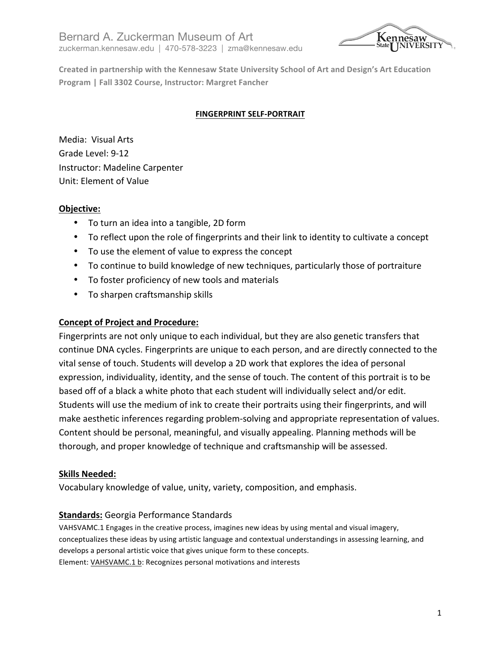Bernard A. Zuckerman Museum of Art zuckerman.kennesaw.edu | 470-578-3223 | zma@kennesaw.edu



Created in partnership with the Kennesaw State University School of Art and Design's Art Education **Program | Fall 3302 Course, Instructor: Margret Fancher** 

### **FINGERPRINT SELF-PORTRAIT**

Media: Visual Arts Grade Level: 9-12 Instructor: Madeline Carpenter Unit: Element of Value

### **Objective:**

- To turn an idea into a tangible, 2D form
- To reflect upon the role of fingerprints and their link to identity to cultivate a concept
- To use the element of value to express the concept
- To continue to build knowledge of new techniques, particularly those of portraiture
- To foster proficiency of new tools and materials
- To sharpen craftsmanship skills

#### **Concept of Project and Procedure:**

Fingerprints are not only unique to each individual, but they are also genetic transfers that continue DNA cycles. Fingerprints are unique to each person, and are directly connected to the vital sense of touch. Students will develop a 2D work that explores the idea of personal expression, individuality, identity, and the sense of touch. The content of this portrait is to be based off of a black a white photo that each student will individually select and/or edit. Students will use the medium of ink to create their portraits using their fingerprints, and will make aesthetic inferences regarding problem-solving and appropriate representation of values. Content should be personal, meaningful, and visually appealing. Planning methods will be thorough, and proper knowledge of technique and craftsmanship will be assessed.

#### **Skills Needed:**

Vocabulary knowledge of value, unity, variety, composition, and emphasis.

### **Standards:** Georgia Performance Standards

VAHSVAMC.1 Engages in the creative process, imagines new ideas by using mental and visual imagery, conceptualizes these ideas by using artistic language and contextual understandings in assessing learning, and develops a personal artistic voice that gives unique form to these concepts. Element: VAHSVAMC.1 b: Recognizes personal motivations and interests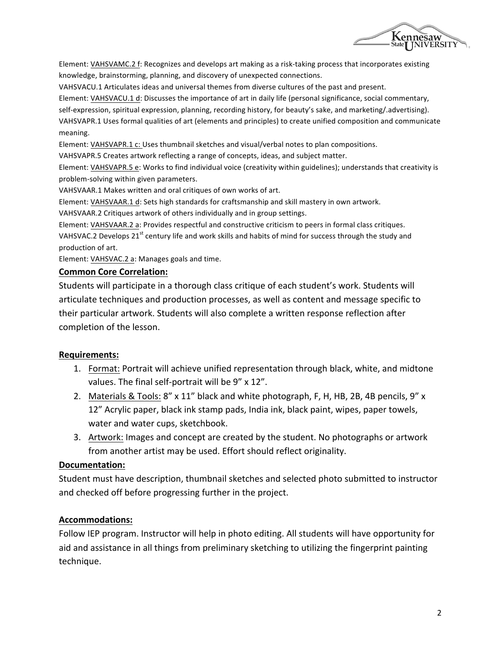

Element: VAHSVAMC.2 f: Recognizes and develops art making as a risk-taking process that incorporates existing knowledge, brainstorming, planning, and discovery of unexpected connections.

VAHSVACU.1 Articulates ideas and universal themes from diverse cultures of the past and present.

Element: VAHSVACU.1 d: Discusses the importance of art in daily life (personal significance, social commentary,

self-expression, spiritual expression, planning, recording history, for beauty's sake, and marketing/.advertising).

VAHSVAPR.1 Uses formal qualities of art (elements and principles) to create unified composition and communicate meaning. 

Element: VAHSVAPR.1 c: Uses thumbnail sketches and visual/verbal notes to plan compositions.

VAHSVAPR.5 Creates artwork reflecting a range of concepts, ideas, and subject matter.

Element: VAHSVAPR.5 e: Works to find individual voice (creativity within guidelines); understands that creativity is problem-solving within given parameters.

VAHSVAAR.1 Makes written and oral critiques of own works of art.

Element: VAHSVAAR.1 d: Sets high standards for craftsmanship and skill mastery in own artwork.

VAHSVAAR.2 Critiques artwork of others individually and in group settings.

Element: VAHSVAAR.2 a: Provides respectful and constructive criticism to peers in formal class critiques. VAHSVAC.2 Develops  $21^{st}$  century life and work skills and habits of mind for success through the study and production of art.

Element: VAHSVAC.2 a: Manages goals and time.

#### **Common Core Correlation:**

Students will participate in a thorough class critique of each student's work. Students will articulate techniques and production processes, as well as content and message specific to their particular artwork. Students will also complete a written response reflection after completion of the lesson.

### **Requirements:**

- 1. Format: Portrait will achieve unified representation through black, white, and midtone values. The final self-portrait will be 9" x 12".
- 2. Materials & Tools: 8" x 11" black and white photograph, F, H, HB, 2B, 4B pencils, 9" x 12" Acrylic paper, black ink stamp pads, India ink, black paint, wipes, paper towels, water and water cups, sketchbook.
- 3. Artwork: Images and concept are created by the student. No photographs or artwork from another artist may be used. Effort should reflect originality.

### **Documentation:**

Student must have description, thumbnail sketches and selected photo submitted to instructor and checked off before progressing further in the project.

### **Accommodations:**

Follow IEP program. Instructor will help in photo editing. All students will have opportunity for aid and assistance in all things from preliminary sketching to utilizing the fingerprint painting technique.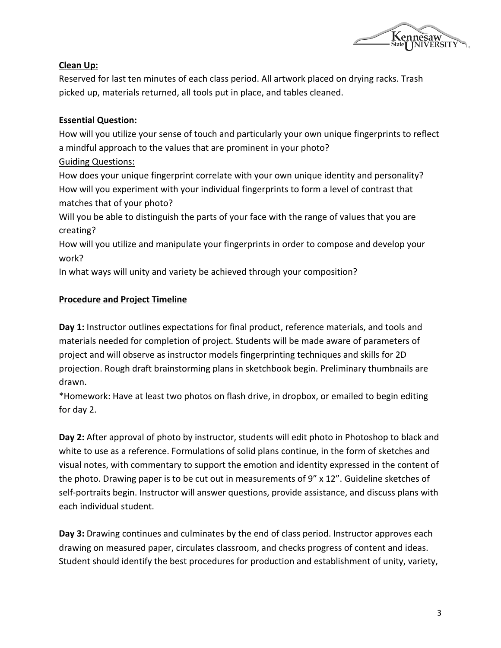

## **Clean Up:**

Reserved for last ten minutes of each class period. All artwork placed on drying racks. Trash picked up, materials returned, all tools put in place, and tables cleaned.

## **Essential Question:**

How will you utilize your sense of touch and particularly your own unique fingerprints to reflect a mindful approach to the values that are prominent in your photo?

## Guiding Questions:

How does your unique fingerprint correlate with your own unique identity and personality? How will you experiment with your individual fingerprints to form a level of contrast that matches that of your photo?

Will you be able to distinguish the parts of your face with the range of values that you are creating? 

How will you utilize and manipulate your fingerprints in order to compose and develop your work?

In what ways will unity and variety be achieved through your composition?

# **Procedure and Project Timeline**

**Day 1:** Instructor outlines expectations for final product, reference materials, and tools and materials needed for completion of project. Students will be made aware of parameters of project and will observe as instructor models fingerprinting techniques and skills for 2D projection. Rough draft brainstorming plans in sketchbook begin. Preliminary thumbnails are drawn. 

\*Homework: Have at least two photos on flash drive, in dropbox, or emailed to begin editing for day 2.

**Day 2:** After approval of photo by instructor, students will edit photo in Photoshop to black and white to use as a reference. Formulations of solid plans continue, in the form of sketches and visual notes, with commentary to support the emotion and identity expressed in the content of the photo. Drawing paper is to be cut out in measurements of  $9''$  x 12". Guideline sketches of self-portraits begin. Instructor will answer questions, provide assistance, and discuss plans with each individual student.

**Day 3:** Drawing continues and culminates by the end of class period. Instructor approves each drawing on measured paper, circulates classroom, and checks progress of content and ideas. Student should identify the best procedures for production and establishment of unity, variety,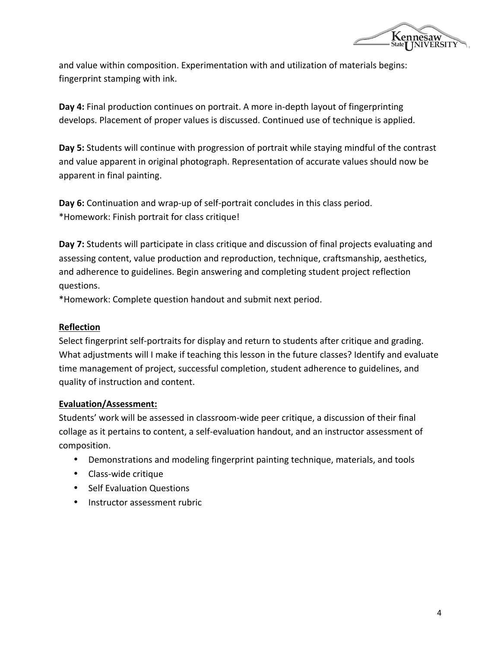

and value within composition. Experimentation with and utilization of materials begins: fingerprint stamping with ink.

**Day 4:** Final production continues on portrait. A more in-depth layout of fingerprinting develops. Placement of proper values is discussed. Continued use of technique is applied.

Day 5: Students will continue with progression of portrait while staying mindful of the contrast and value apparent in original photograph. Representation of accurate values should now be apparent in final painting.

**Day 6:** Continuation and wrap-up of self-portrait concludes in this class period. \*Homework: Finish portrait for class critique!

**Day 7:** Students will participate in class critique and discussion of final projects evaluating and assessing content, value production and reproduction, technique, craftsmanship, aesthetics, and adherence to guidelines. Begin answering and completing student project reflection questions.

\*Homework: Complete question handout and submit next period.

### **Reflection**

Select fingerprint self-portraits for display and return to students after critique and grading. What adjustments will I make if teaching this lesson in the future classes? Identify and evaluate time management of project, successful completion, student adherence to guidelines, and quality of instruction and content.

### **Evaluation/Assessment:**

Students' work will be assessed in classroom-wide peer critique, a discussion of their final collage as it pertains to content, a self-evaluation handout, and an instructor assessment of composition. 

- Demonstrations and modeling fingerprint painting technique, materials, and tools
- Class-wide critique
- Self Evaluation Questions
- Instructor assessment rubric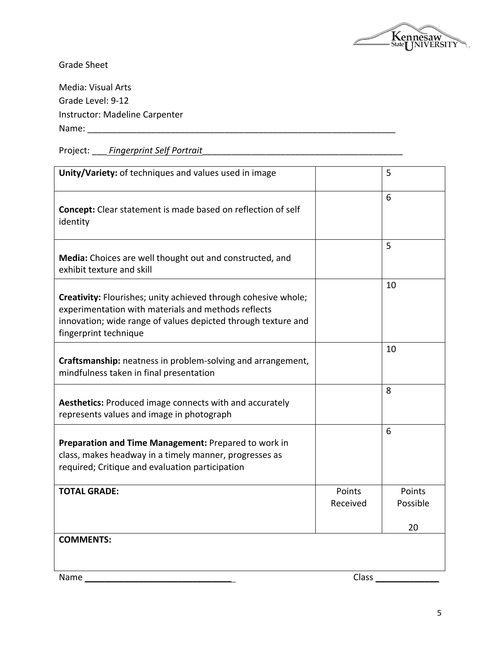

Grade Sheet

Media: Visual Arts Grade Level: 9-12 Instructor: Madeline Carpenter Name: \_\_\_\_\_\_\_\_\_\_\_\_\_\_\_\_\_\_\_\_\_\_\_\_\_\_\_\_\_\_\_\_\_\_\_\_\_\_\_\_\_\_\_\_\_\_\_\_\_\_\_\_\_\_\_\_\_\_\_\_\_\_\_

Project: \_\_\_\_ *Fingerprint Self Portrait* 

| Unity/Variety: of techniques and values used in image                                                                                                                                                           |                    | 5                        |
|-----------------------------------------------------------------------------------------------------------------------------------------------------------------------------------------------------------------|--------------------|--------------------------|
| <b>Concept:</b> Clear statement is made based on reflection of self<br>identity                                                                                                                                 |                    | 6                        |
| Media: Choices are well thought out and constructed, and<br>exhibit texture and skill                                                                                                                           |                    | 5                        |
| Creativity: Flourishes; unity achieved through cohesive whole;<br>experimentation with materials and methods reflects<br>innovation; wide range of values depicted through texture and<br>fingerprint technique |                    | 10                       |
| Craftsmanship: neatness in problem-solving and arrangement,<br>mindfulness taken in final presentation                                                                                                          |                    | 10                       |
| Aesthetics: Produced image connects with and accurately<br>represents values and image in photograph                                                                                                            |                    | 8                        |
| Preparation and Time Management: Prepared to work in<br>class, makes headway in a timely manner, progresses as<br>required; Critique and evaluation participation                                               |                    | 6                        |
| <b>TOTAL GRADE:</b>                                                                                                                                                                                             | Points<br>Received | Points<br>Possible<br>20 |
| <b>COMMENTS:</b>                                                                                                                                                                                                |                    |                          |

Name \_\_\_\_\_\_\_\_\_\_\_\_\_\_\_\_\_\_\_\_\_\_\_\_\_\_\_\_\_\_ Class \_\_\_\_\_\_\_\_\_\_\_\_\_